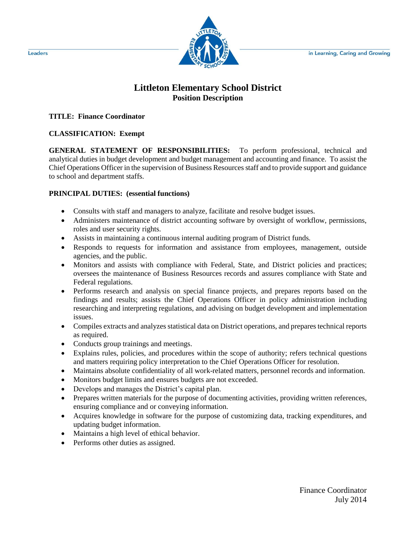in Learning, Caring and Growing



## **Littleton Elementary School District Position Description**

**TITLE: Finance Coordinator**

## **CLASSIFICATION: Exempt**

**GENERAL STATEMENT OF RESPONSIBILITIES:** To perform professional, technical and analytical duties in budget development and budget management and accounting and finance. To assist the Chief Operations Officer in the supervision of Business Resources staff and to provide support and guidance to school and department staffs.

## **PRINCIPAL DUTIES: (essential functions)**

- Consults with staff and managers to analyze, facilitate and resolve budget issues.
- Administers maintenance of district accounting software by oversight of workflow, permissions, roles and user security rights.
- Assists in maintaining a continuous internal auditing program of District funds.
- Responds to requests for information and assistance from employees, management, outside agencies, and the public.
- Monitors and assists with compliance with Federal, State, and District policies and practices; oversees the maintenance of Business Resources records and assures compliance with State and Federal regulations.
- Performs research and analysis on special finance projects, and prepares reports based on the findings and results; assists the Chief Operations Officer in policy administration including researching and interpreting regulations, and advising on budget development and implementation issues.
- Compiles extracts and analyzes statistical data on District operations, and prepares technical reports as required.
- Conducts group trainings and meetings.
- Explains rules, policies, and procedures within the scope of authority; refers technical questions and matters requiring policy interpretation to the Chief Operations Officer for resolution.
- Maintains absolute confidentiality of all work-related matters, personnel records and information.
- Monitors budget limits and ensures budgets are not exceeded.
- Develops and manages the District's capital plan.
- Prepares written materials for the purpose of documenting activities, providing written references, ensuring compliance and or conveying information.
- Acquires knowledge in software for the purpose of customizing data, tracking expenditures, and updating budget information.
- Maintains a high level of ethical behavior.
- Performs other duties as assigned.

Leaders